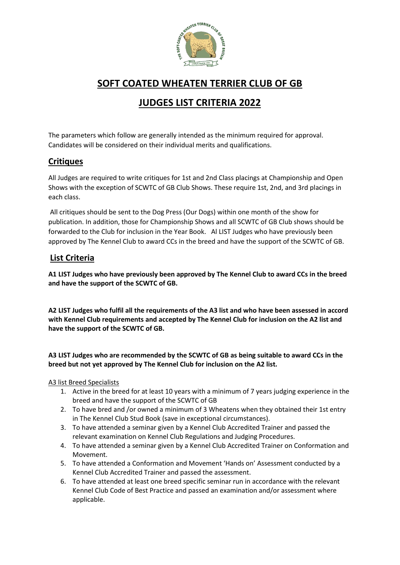

## **SOFT COATED WHEATEN TERRIER CLUB OF GB**

# **JUDGES LIST CRITERIA 2022**

The parameters which follow are generally intended as the minimum required for approval. Candidates will be considered on their individual merits and qualifications.

## **Critiques**

All Judges are required to write critiques for 1st and 2nd Class placings at Championship and Open Shows with the exception of SCWTC of GB Club Shows. These require 1st, 2nd, and 3rd placings in each class.

All critiques should be sent to the Dog Press (Our Dogs) within one month of the show for publication. In addition, those for Championship Shows and all SCWTC of GB Club shows should be forwarded to the Club for inclusion in the Year Book. Al LIST Judges who have previously been approved by The Kennel Club to award CCs in the breed and have the support of the SCWTC of GB.

## **List Criteria**

**A1 LIST Judges who have previously been approved by The Kennel Club to award CCs in the breed and have the support of the SCWTC of GB.**

**A2 LIST Judges who fulfil all the requirements of the A3 list and who have been assessed in accord with Kennel Club requirements and accepted by The Kennel Club for inclusion on the A2 list and have the support of the SCWTC of GB.** 

**A3 LIST Judges who are recommended by the SCWTC of GB as being suitable to award CCs in the breed but not yet approved by The Kennel Club for inclusion on the A2 list.** 

A3 list Breed Specialists

- 1. Active in the breed for at least 10 years with a minimum of 7 years judging experience in the breed and have the support of the SCWTC of GB
- 2. To have bred and /or owned a minimum of 3 Wheatens when they obtained their 1st entry in The Kennel Club Stud Book (save in exceptional circumstances).
- 3. To have attended a seminar given by a Kennel Club Accredited Trainer and passed the relevant examination on Kennel Club Regulations and Judging Procedures.
- 4. To have attended a seminar given by a Kennel Club Accredited Trainer on Conformation and Movement.
- 5. To have attended a Conformation and Movement 'Hands on' Assessment conducted by a Kennel Club Accredited Trainer and passed the assessment.
- 6. To have attended at least one breed specific seminar run in accordance with the relevant Kennel Club Code of Best Practice and passed an examination and/or assessment where applicable.